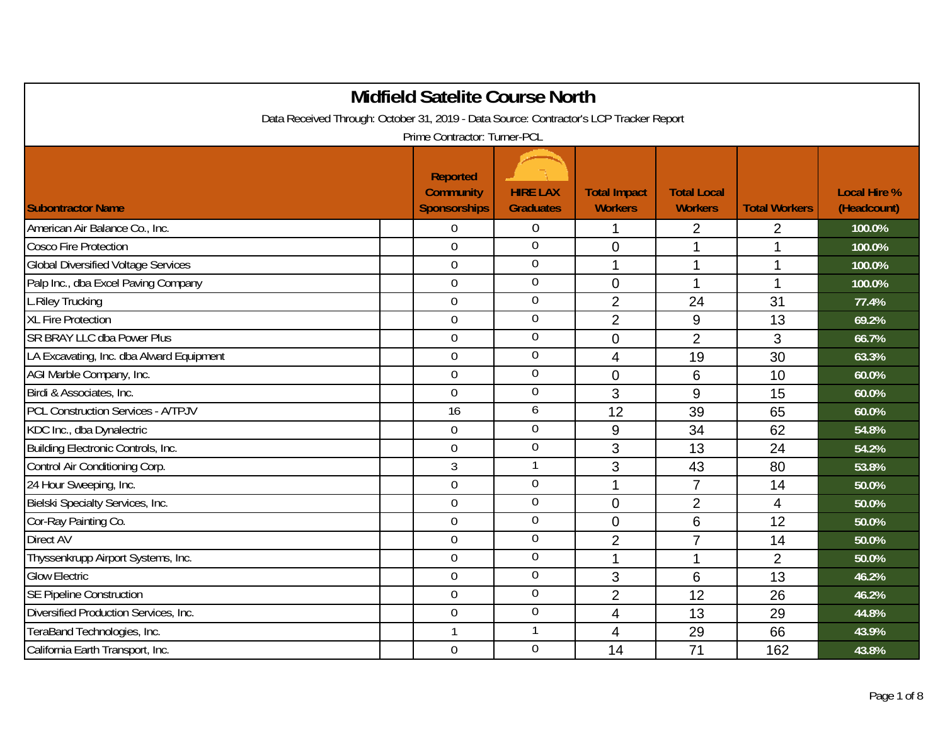| <b>Midfield Satelite Course North</b>                                                  |                                                            |                                     |                                       |                                      |                      |                                    |  |  |
|----------------------------------------------------------------------------------------|------------------------------------------------------------|-------------------------------------|---------------------------------------|--------------------------------------|----------------------|------------------------------------|--|--|
| Data Received Through: October 31, 2019 - Data Source: Contractor's LCP Tracker Report |                                                            |                                     |                                       |                                      |                      |                                    |  |  |
|                                                                                        | Prime Contractor: Turner-PCL                               |                                     |                                       |                                      |                      |                                    |  |  |
| <b>Subontractor Name</b>                                                               | <b>Reported</b><br><b>Community</b><br><b>Sponsorships</b> | <b>HIRE LAX</b><br><b>Graduates</b> | <b>Total Impact</b><br><b>Workers</b> | <b>Total Local</b><br><b>Workers</b> | <b>Total Workers</b> | <b>Local Hire %</b><br>(Headcount) |  |  |
| American Air Balance Co., Inc.                                                         | 0                                                          | $\boldsymbol{0}$                    | 1                                     | $\overline{2}$                       | $\overline{2}$       | 100.0%                             |  |  |
| <b>Cosco Fire Protection</b>                                                           | 0                                                          | $\mathbf 0$                         | 0                                     | 1                                    |                      | 100.0%                             |  |  |
| <b>Global Diversified Voltage Services</b>                                             | $\mathbf 0$                                                | $\mathbf 0$                         | 1                                     | $\mathbf{1}$                         | 1                    | 100.0%                             |  |  |
| Palp Inc., dba Excel Paving Company                                                    | $\overline{0}$                                             | $\mathbf 0$                         | $\overline{0}$                        | 1                                    | $\mathbf 1$          | 100.0%                             |  |  |
| L.Riley Trucking                                                                       | 0                                                          | $\boldsymbol{0}$                    | $\overline{2}$                        | 24                                   | 31                   | 77.4%                              |  |  |
| <b>XL Fire Protection</b>                                                              | $\mathbf 0$                                                | $\boldsymbol{0}$                    | $\overline{2}$                        | 9                                    | 13                   | 69.2%                              |  |  |
| <b>SR BRAY LLC dba Power Plus</b>                                                      | 0                                                          | $\mathbf 0$                         | $\overline{0}$                        | $\overline{2}$                       | 3                    | 66.7%                              |  |  |
| LA Excavating, Inc. dba Alward Equipment                                               | 0                                                          | $\mathbf 0$                         | 4                                     | 19                                   | 30                   | 63.3%                              |  |  |
| AGI Marble Company, Inc.                                                               | $\overline{0}$                                             | $\mathbf 0$                         | $\overline{0}$                        | 6                                    | 10                   | 60.0%                              |  |  |
| Birdi & Associates, Inc.                                                               | $\mathbf 0$                                                | $\boldsymbol{0}$                    | 3                                     | 9                                    | 15                   | 60.0%                              |  |  |
| <b>PCL Construction Services - A/TPJV</b>                                              | 16                                                         | 6                                   | 12                                    | 39                                   | 65                   | 60.0%                              |  |  |
| KDC Inc., dba Dynalectric                                                              | $\overline{0}$                                             | $\mathbf 0$                         | 9                                     | 34                                   | 62                   | 54.8%                              |  |  |
| Building Electronic Controls, Inc.                                                     | 0                                                          | $\mathbf 0$                         | 3                                     | 13                                   | 24                   | 54.2%                              |  |  |
| Control Air Conditioning Corp.                                                         | 3                                                          | $\mathbf{1}$                        | 3                                     | 43                                   | 80                   | 53.8%                              |  |  |
| 24 Hour Sweeping, Inc.                                                                 | $\overline{0}$                                             | $\overline{0}$                      | 1                                     | $\overline{7}$                       | 14                   | 50.0%                              |  |  |
| Bielski Specialty Services, Inc.                                                       | 0                                                          | $\boldsymbol{0}$                    | 0                                     | $\overline{2}$                       | 4                    | 50.0%                              |  |  |
| Cor-Ray Painting Co.                                                                   | $\mathbf 0$                                                | $\boldsymbol{0}$                    | 0                                     | 6                                    | 12                   | 50.0%                              |  |  |
| <b>Direct AV</b>                                                                       | $\overline{0}$                                             | $\mathbf 0$                         | $\overline{2}$                        | $\overline{7}$                       | 14                   | 50.0%                              |  |  |
| Thyssenkrupp Airport Systems, Inc.                                                     | 0                                                          | $\mathbf 0$                         | 1                                     | 1                                    | $\overline{2}$       | 50.0%                              |  |  |
| <b>Glow Electric</b>                                                                   | $\overline{0}$                                             | $\mathbf 0$                         | 3                                     | 6                                    | 13                   | 46.2%                              |  |  |
| <b>SE Pipeline Construction</b>                                                        | $\overline{0}$                                             | $\mathbf 0$                         | $\overline{2}$                        | 12                                   | 26                   | 46.2%                              |  |  |
| Diversified Production Services, Inc.                                                  | $\overline{0}$                                             | $\boldsymbol{0}$                    | 4                                     | 13                                   | 29                   | 44.8%                              |  |  |
| TeraBand Technologies, Inc.                                                            | $\mathbf{1}$                                               | 1                                   | 4                                     | 29                                   | 66                   | 43.9%                              |  |  |
| California Earth Transport, Inc.                                                       | $\mathbf 0$                                                | $\overline{0}$                      | 14                                    | 71                                   | 162                  | 43.8%                              |  |  |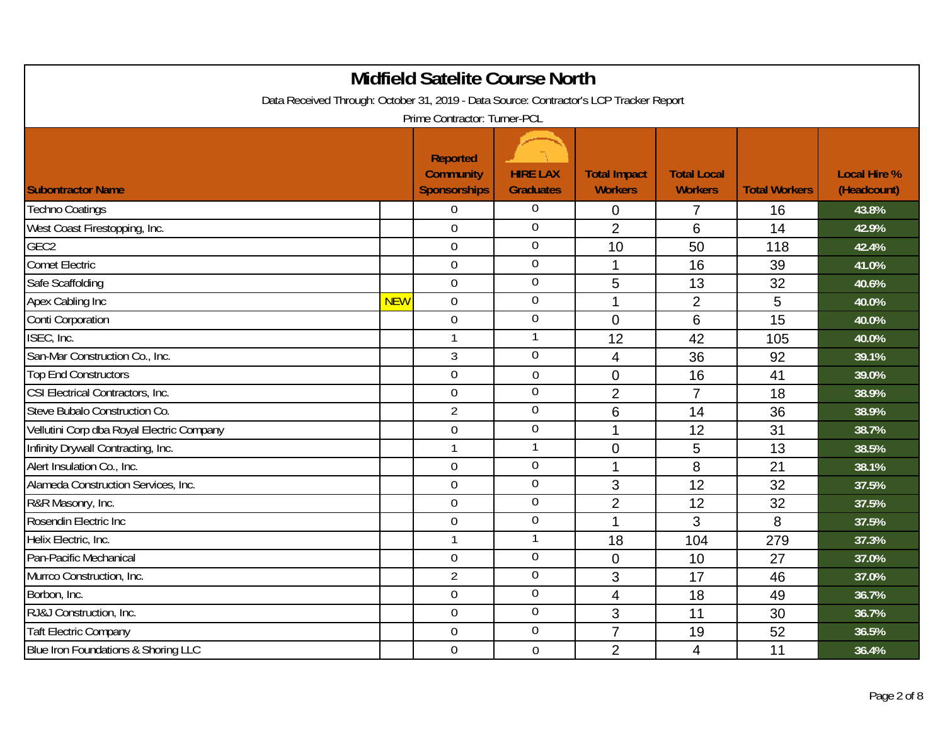| <b>Midfield Satelite Course North</b>                                                                                  |            |                                                            |                                     |                                       |                                      |                      |                                    |  |  |
|------------------------------------------------------------------------------------------------------------------------|------------|------------------------------------------------------------|-------------------------------------|---------------------------------------|--------------------------------------|----------------------|------------------------------------|--|--|
| Data Received Through: October 31, 2019 - Data Source: Contractor's LCP Tracker Report<br>Prime Contractor: Turner-PCL |            |                                                            |                                     |                                       |                                      |                      |                                    |  |  |
| <b>Subontractor Name</b>                                                                                               |            | <b>Reported</b><br><b>Community</b><br><b>Sponsorships</b> | <b>HIRE LAX</b><br><b>Graduates</b> | <b>Total Impact</b><br><b>Workers</b> | <b>Total Local</b><br><b>Workers</b> | <b>Total Workers</b> | <b>Local Hire %</b><br>(Headcount) |  |  |
| <b>Techno Coatings</b>                                                                                                 |            | $\boldsymbol{0}$                                           | $\boldsymbol{0}$                    | 0                                     | $\overline{7}$                       | 16                   | 43.8%                              |  |  |
| West Coast Firestopping, Inc.                                                                                          |            | $\overline{0}$                                             | $\overline{0}$                      | $\overline{2}$                        | 6                                    | 14                   | 42.9%                              |  |  |
| GEC <sub>2</sub>                                                                                                       |            | $\overline{0}$                                             | $\overline{0}$                      | 10                                    | 50                                   | 118                  | 42.4%                              |  |  |
| <b>Comet Electric</b>                                                                                                  |            | $\overline{0}$                                             | $\overline{0}$                      | $\mathbf 1$                           | 16                                   | 39                   | 41.0%                              |  |  |
| Safe Scaffolding                                                                                                       |            | $\mathbf 0$                                                | $\overline{0}$                      | 5                                     | 13                                   | 32                   | 40.6%                              |  |  |
| Apex Cabling Inc                                                                                                       | <b>NEW</b> | $\overline{0}$                                             | $\overline{0}$                      | 1                                     | $\overline{2}$                       | 5                    | 40.0%                              |  |  |
| Conti Corporation                                                                                                      |            | $\mathbf 0$                                                | $\boldsymbol{0}$                    | $\overline{0}$                        | 6                                    | 15                   | 40.0%                              |  |  |
| ISEC, Inc.                                                                                                             |            | $\mathbf{1}$                                               | $\mathbf{1}$                        | 12                                    | 42                                   | 105                  | 40.0%                              |  |  |
| San-Mar Construction Co., Inc.                                                                                         |            | $\overline{3}$                                             | $\mathbf 0$                         | $\overline{4}$                        | 36                                   | 92                   | 39.1%                              |  |  |
| <b>Top End Constructors</b>                                                                                            |            | $\overline{0}$                                             | $\mathbf 0$                         | $\overline{0}$                        | 16                                   | 41                   | 39.0%                              |  |  |
| CSI Electrical Contractors, Inc.                                                                                       |            | 0                                                          | $\overline{0}$                      | $\overline{2}$                        | $\overline{7}$                       | 18                   | 38.9%                              |  |  |
| Steve Bubalo Construction Co.                                                                                          |            | 2                                                          | $\boldsymbol{0}$                    | 6                                     | 14                                   | 36                   | 38.9%                              |  |  |
| Vellutini Corp dba Royal Electric Company                                                                              |            | $\overline{0}$                                             | $\overline{0}$                      | 1                                     | 12                                   | 31                   | 38.7%                              |  |  |
| Infinity Drywall Contracting, Inc.                                                                                     |            | $\mathbf{1}$                                               | $\mathbf{1}$                        | $\overline{0}$                        | 5                                    | 13                   | 38.5%                              |  |  |
| Alert Insulation Co., Inc.                                                                                             |            | $\mathbf 0$                                                | $\mathbf 0$                         | 1                                     | 8                                    | 21                   | 38.1%                              |  |  |
| Alameda Construction Services, Inc.                                                                                    |            | $\overline{0}$                                             | $\boldsymbol{0}$                    | 3                                     | 12                                   | 32                   | 37.5%                              |  |  |
| R&R Masonry, Inc.                                                                                                      |            | $\overline{0}$                                             | $\mathbf 0$                         | $\overline{2}$                        | 12                                   | 32                   | 37.5%                              |  |  |
| Rosendin Electric Inc                                                                                                  |            | $\mathbf 0$                                                | $\mathbf 0$                         | 1                                     | 3                                    | 8                    | 37.5%                              |  |  |
| Helix Electric, Inc.                                                                                                   |            | $\mathbf{1}$                                               | $\mathbf{1}$                        | 18                                    | 104                                  | 279                  | 37.3%                              |  |  |
| Pan-Pacific Mechanical                                                                                                 |            | $\overline{0}$                                             | $\overline{0}$                      | 0                                     | 10                                   | 27                   | 37.0%                              |  |  |
| Murrco Construction, Inc.                                                                                              |            | $\overline{2}$                                             | $\mathbf 0$                         | 3                                     | 17                                   | 46                   | 37.0%                              |  |  |
| Borbon, Inc.                                                                                                           |            | 0                                                          | $\overline{0}$                      | 4                                     | 18                                   | 49                   | 36.7%                              |  |  |
| RJ&J Construction, Inc.                                                                                                |            | $\overline{0}$                                             | $\overline{0}$                      | 3                                     | 11                                   | 30                   | 36.7%                              |  |  |
| <b>Taft Electric Company</b>                                                                                           |            | 0                                                          | $\overline{0}$                      | $\overline{7}$                        | 19                                   | 52                   | 36.5%                              |  |  |
| Blue Iron Foundations & Shoring LLC                                                                                    |            | $\mathbf 0$                                                | $\mathbf 0$                         | $\overline{2}$                        | 4                                    | 11                   | 36.4%                              |  |  |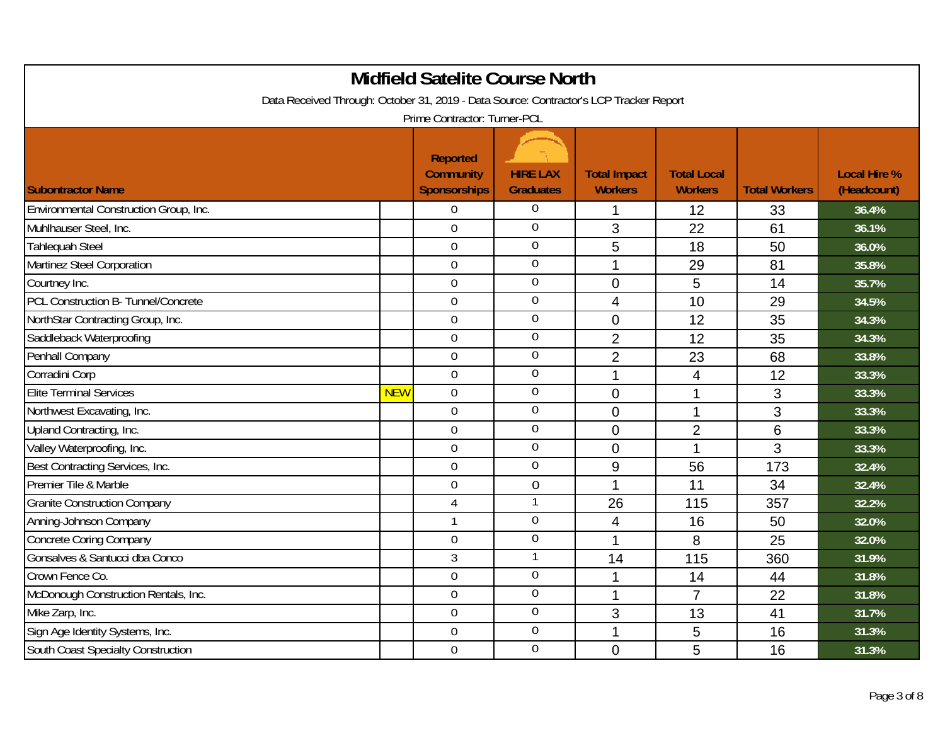| <b>Midfield Satelite Course North</b>                                                                                  |            |                                                            |                                     |                                       |                                      |                      |                                    |  |  |
|------------------------------------------------------------------------------------------------------------------------|------------|------------------------------------------------------------|-------------------------------------|---------------------------------------|--------------------------------------|----------------------|------------------------------------|--|--|
| Data Received Through: October 31, 2019 - Data Source: Contractor's LCP Tracker Report<br>Prime Contractor: Turner-PCL |            |                                                            |                                     |                                       |                                      |                      |                                    |  |  |
| <b>Subontractor Name</b>                                                                                               |            | <b>Reported</b><br><b>Community</b><br><b>Sponsorships</b> | <b>HIRE LAX</b><br><b>Graduates</b> | <b>Total Impact</b><br><b>Workers</b> | <b>Total Local</b><br><b>Workers</b> | <b>Total Workers</b> | <b>Local Hire %</b><br>(Headcount) |  |  |
| Environmental Construction Group, Inc.                                                                                 |            | $\overline{0}$                                             | $\mathbf 0$                         | 1                                     | 12                                   | 33                   | 36.4%                              |  |  |
| Muhlhauser Steel, Inc.                                                                                                 |            | $\overline{0}$                                             | $\overline{0}$                      | 3                                     | 22                                   | 61                   | 36.1%                              |  |  |
| <b>Tahlequah Steel</b>                                                                                                 |            | $\overline{0}$                                             | $\overline{0}$                      | 5                                     | 18                                   | 50                   | 36.0%                              |  |  |
| Martinez Steel Corporation                                                                                             |            | $\mathbf 0$                                                | $\overline{0}$                      | 1                                     | 29                                   | 81                   | 35.8%                              |  |  |
| Courtney Inc.                                                                                                          |            | $\Omega$                                                   | $\boldsymbol{0}$                    | $\overline{0}$                        | 5                                    | 14                   | 35.7%                              |  |  |
| PCL Construction B- Tunnel/Concrete                                                                                    |            | $\overline{0}$                                             | $\mathbf 0$                         | $\overline{4}$                        | 10                                   | 29                   | 34.5%                              |  |  |
| NorthStar Contracting Group, Inc.                                                                                      |            | $\mathbf 0$                                                | $\overline{0}$                      | $\overline{0}$                        | 12                                   | 35                   | 34.3%                              |  |  |
| Saddleback Waterproofing                                                                                               |            | $\overline{0}$                                             | $\overline{0}$                      | $\overline{2}$                        | 12                                   | 35                   | 34.3%                              |  |  |
| Penhall Company                                                                                                        |            | $\overline{0}$                                             | $\boldsymbol{0}$                    | $\overline{2}$                        | 23                                   | 68                   | 33.8%                              |  |  |
| Corradini Corp                                                                                                         |            | $\overline{0}$                                             | $\mathbf 0$                         | 1                                     | 4                                    | 12                   | 33.3%                              |  |  |
| <b>Elite Terminal Services</b>                                                                                         | <b>NEW</b> | $\mathbf 0$                                                | $\boldsymbol{0}$                    | $\overline{0}$                        | 1                                    | 3                    | 33.3%                              |  |  |
| Northwest Excavating, Inc.                                                                                             |            | $\overline{0}$                                             | $\boldsymbol{0}$                    | $\overline{0}$                        | 1                                    | 3                    | 33.3%                              |  |  |
| Upland Contracting, Inc.                                                                                               |            | $\overline{0}$                                             | $\mathbf 0$                         | $\overline{0}$                        | $\overline{2}$                       | 6                    | 33.3%                              |  |  |
| Valley Waterproofing, Inc.                                                                                             |            | $\overline{0}$                                             | $\overline{0}$                      | $\overline{0}$                        | $\overline{1}$                       | 3                    | 33.3%                              |  |  |
| Best Contracting Services, Inc.                                                                                        |            | $\mathbf 0$                                                | $\boldsymbol{0}$                    | 9                                     | 56                                   | 173                  | 32.4%                              |  |  |
| Premier Tile & Marble                                                                                                  |            | $\mathbf 0$                                                | $\mathbf 0$                         | $\overline{1}$                        | 11                                   | 34                   | 32.4%                              |  |  |
| <b>Granite Construction Company</b>                                                                                    |            | $\overline{4}$                                             | 1                                   | 26                                    | 115                                  | 357                  | 32.2%                              |  |  |
| Anning-Johnson Company                                                                                                 |            | $\mathbf{1}$                                               | $\overline{0}$                      | 4                                     | 16                                   | 50                   | 32.0%                              |  |  |
| <b>Concrete Coring Company</b>                                                                                         |            | $\overline{0}$                                             | $\overline{0}$                      | 1                                     | 8                                    | 25                   | 32.0%                              |  |  |
| Gonsalves & Santucci dba Conco                                                                                         |            | $\overline{3}$                                             | $\mathbf{1}$                        | 14                                    | 115                                  | 360                  | 31.9%                              |  |  |
| Crown Fence Co.                                                                                                        |            | $\overline{0}$                                             | $\overline{0}$                      | 1                                     | 14                                   | 44                   | 31.8%                              |  |  |
| McDonough Construction Rentals, Inc.                                                                                   |            | $\overline{0}$                                             | $\boldsymbol{0}$                    | 1                                     | $\overline{7}$                       | 22                   | 31.8%                              |  |  |
| Mike Zarp, Inc.                                                                                                        |            | $\overline{0}$                                             | $\overline{0}$                      | 3                                     | 13                                   | 41                   | 31.7%                              |  |  |
| Sign Age Identity Systems, Inc.                                                                                        |            | $\overline{0}$                                             | $\overline{0}$                      | 1                                     | 5                                    | 16                   | 31.3%                              |  |  |
| South Coast Specialty Construction                                                                                     |            | $\Omega$                                                   | $\overline{0}$                      | $\overline{0}$                        | 5                                    | 16                   | 31.3%                              |  |  |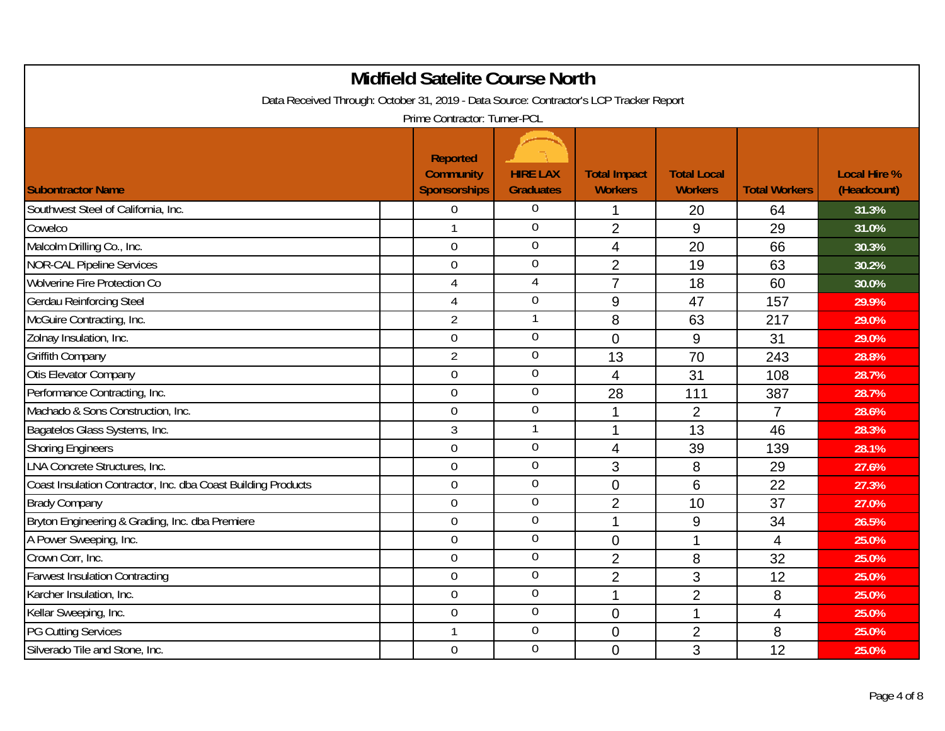| <b>Midfield Satelite Course North</b>                                                  |                                                            |                                     |                                       |                                      |                      |                                    |  |  |
|----------------------------------------------------------------------------------------|------------------------------------------------------------|-------------------------------------|---------------------------------------|--------------------------------------|----------------------|------------------------------------|--|--|
| Data Received Through: October 31, 2019 - Data Source: Contractor's LCP Tracker Report |                                                            |                                     |                                       |                                      |                      |                                    |  |  |
|                                                                                        | Prime Contractor: Turner-PCL                               |                                     |                                       |                                      |                      |                                    |  |  |
| <b>Subontractor Name</b>                                                               | <b>Reported</b><br><b>Community</b><br><b>Sponsorships</b> | <b>HIRE LAX</b><br><b>Graduates</b> | <b>Total Impact</b><br><b>Workers</b> | <b>Total Local</b><br><b>Workers</b> | <b>Total Workers</b> | <b>Local Hire %</b><br>(Headcount) |  |  |
| Southwest Steel of California, Inc.                                                    | $\overline{0}$                                             | $\boldsymbol{0}$                    | 1                                     | 20                                   | 64                   | 31.3%                              |  |  |
| Cowelco                                                                                |                                                            | $\overline{0}$                      | $\overline{2}$                        | 9                                    | 29                   | 31.0%                              |  |  |
| Malcolm Drilling Co., Inc.                                                             | $\overline{0}$                                             | $\mathbf 0$                         | 4                                     | 20                                   | 66                   | 30.3%                              |  |  |
| <b>NOR-CAL Pipeline Services</b>                                                       | $\overline{0}$                                             | $\overline{0}$                      | $\overline{2}$                        | 19                                   | 63                   | 30.2%                              |  |  |
| Wolverine Fire Protection Co                                                           | $\overline{4}$                                             | 4                                   | $\overline{7}$                        | 18                                   | 60                   | 30.0%                              |  |  |
| Gerdau Reinforcing Steel                                                               | 4                                                          | $\mathbf 0$                         | 9                                     | 47                                   | 157                  | 29.9%                              |  |  |
| McGuire Contracting, Inc.                                                              | $\overline{2}$                                             | 1                                   | 8                                     | 63                                   | 217                  | 29.0%                              |  |  |
| Zolnay Insulation, Inc.                                                                | $\overline{0}$                                             | $\boldsymbol{0}$                    | $\mathbf 0$                           | 9                                    | 31                   | 29.0%                              |  |  |
| <b>Griffith Company</b>                                                                | $\overline{2}$                                             | $\boldsymbol{0}$                    | 13                                    | 70                                   | 243                  | 28.8%                              |  |  |
| Otis Elevator Company                                                                  | $\overline{0}$                                             | $\overline{0}$                      | 4                                     | 31                                   | 108                  | 28.7%                              |  |  |
| Performance Contracting, Inc.                                                          | $\overline{0}$                                             | $\mathbf 0$                         | 28                                    | 111                                  | 387                  | 28.7%                              |  |  |
| Machado & Sons Construction, Inc.                                                      | $\overline{0}$                                             | $\mathbf 0$                         | $\mathbf 1$                           | $\overline{2}$                       | $\overline{7}$       | 28.6%                              |  |  |
| Bagatelos Glass Systems, Inc.                                                          | 3                                                          | 1                                   | 1                                     | 13                                   | 46                   | 28.3%                              |  |  |
| <b>Shoring Engineers</b>                                                               | $\overline{0}$                                             | $\mathbf 0$                         | 4                                     | 39                                   | 139                  | 28.1%                              |  |  |
| LNA Concrete Structures, Inc.                                                          | $\mathbf 0$                                                | $\boldsymbol{0}$                    | 3                                     | 8                                    | 29                   | 27.6%                              |  |  |
| Coast Insulation Contractor, Inc. dba Coast Building Products                          | $\mathbf 0$                                                | $\overline{0}$                      | $\overline{0}$                        | 6                                    | 22                   | 27.3%                              |  |  |
| <b>Brady Company</b>                                                                   | $\overline{0}$                                             | $\overline{0}$                      | $\overline{2}$                        | 10                                   | 37                   | 27.0%                              |  |  |
| Bryton Engineering & Grading, Inc. dba Premiere                                        | $\overline{0}$                                             | $\mathbf 0$                         | 1                                     | 9                                    | 34                   | 26.5%                              |  |  |
| A Power Sweeping, Inc.                                                                 | $\overline{0}$                                             | $\mathbf 0$                         | $\overline{0}$                        | 1                                    | $\overline{4}$       | 25.0%                              |  |  |
| Crown Corr, Inc.                                                                       | $\overline{0}$                                             | $\boldsymbol{0}$                    | $\overline{2}$                        | 8                                    | 32                   | 25.0%                              |  |  |
| <b>Farwest Insulation Contracting</b>                                                  | $\overline{0}$                                             | $\overline{0}$                      | $\overline{2}$                        | 3                                    | 12                   | 25.0%                              |  |  |
| Karcher Insulation, Inc.                                                               | $\mathbf 0$                                                | $\boldsymbol{0}$                    | 1                                     | $\overline{2}$                       | 8                    | 25.0%                              |  |  |
| Kellar Sweeping, Inc.                                                                  | $\overline{0}$                                             | $\mathbf 0$                         | $\mathbf 0$                           | $\mathbf{1}$                         | $\overline{4}$       | 25.0%                              |  |  |
| <b>PG Cutting Services</b>                                                             | 1                                                          | $\overline{0}$                      | $\overline{0}$                        | $\overline{2}$                       | 8                    | 25.0%                              |  |  |
| Silverado Tile and Stone, Inc.                                                         | $\mathbf 0$                                                | $\overline{0}$                      | $\overline{0}$                        | 3                                    | 12                   | 25.0%                              |  |  |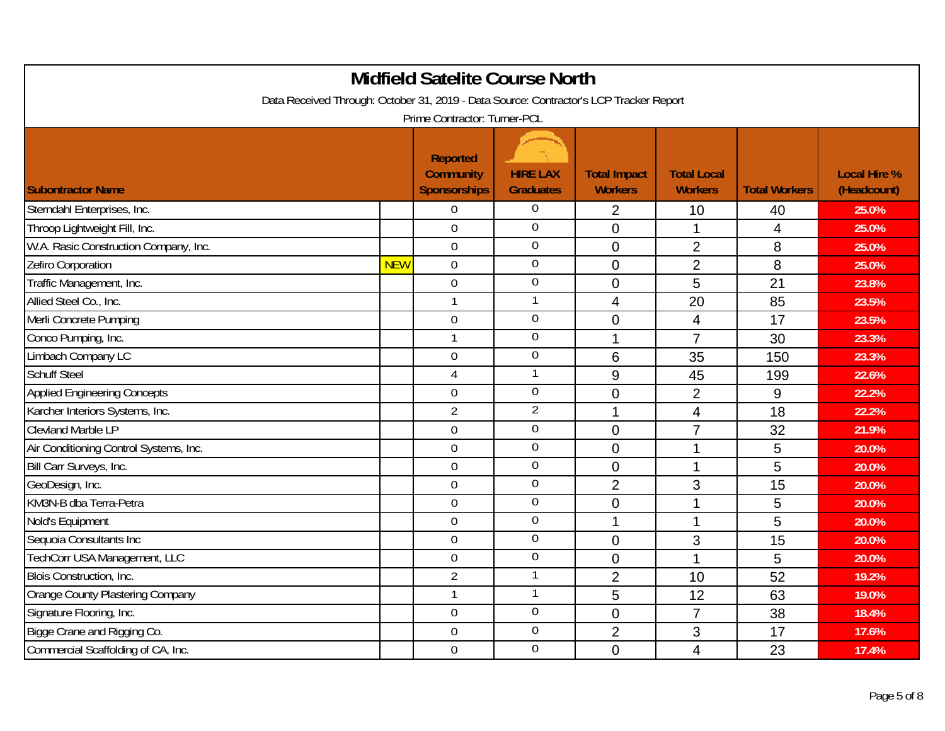| <b>Midfield Satelite Course North</b>                                                  |            |                                                            |                                     |                                       |                                      |                      |                                    |  |
|----------------------------------------------------------------------------------------|------------|------------------------------------------------------------|-------------------------------------|---------------------------------------|--------------------------------------|----------------------|------------------------------------|--|
| Data Received Through: October 31, 2019 - Data Source: Contractor's LCP Tracker Report |            |                                                            |                                     |                                       |                                      |                      |                                    |  |
|                                                                                        |            | Prime Contractor: Turner-PCL                               |                                     |                                       |                                      |                      |                                    |  |
| <b>Subontractor Name</b>                                                               |            | <b>Reported</b><br><b>Community</b><br><b>Sponsorships</b> | <b>HIRE LAX</b><br><b>Graduates</b> | <b>Total Impact</b><br><b>Workers</b> | <b>Total Local</b><br><b>Workers</b> | <b>Total Workers</b> | <b>Local Hire %</b><br>(Headcount) |  |
| Sterndahl Enterprises, Inc.                                                            |            | $\overline{0}$                                             | $\boldsymbol{0}$                    | $\overline{2}$                        | 10                                   | 40                   | 25.0%                              |  |
| Throop Lightweight Fill, Inc.                                                          |            | $\overline{0}$                                             | $\overline{0}$                      | $\overline{0}$                        | 1                                    | 4                    | 25.0%                              |  |
| W.A. Rasic Construction Company, Inc.                                                  |            | $\overline{0}$                                             | $\mathbf 0$                         | $\overline{0}$                        | $\overline{2}$                       | 8                    | 25.0%                              |  |
| Zefiro Corporation                                                                     | <b>NEW</b> | $\mathbf 0$                                                | $\overline{0}$                      | $\mathbf 0$                           | $\overline{2}$                       | 8                    | 25.0%                              |  |
| Traffic Management, Inc.                                                               |            | $\mathbf 0$                                                | $\mathbf 0$                         | $\overline{0}$                        | 5                                    | 21                   | 23.8%                              |  |
| Allied Steel Co., Inc.                                                                 |            | 1                                                          | 1                                   | 4                                     | 20                                   | 85                   | 23.5%                              |  |
| Merli Concrete Pumping                                                                 |            | $\mathbf 0$                                                | $\mathbf 0$                         | $\overline{0}$                        | $\overline{\mathbf{4}}$              | 17                   | 23.5%                              |  |
| Conco Pumping, Inc.                                                                    |            | 1                                                          | $\boldsymbol{0}$                    | 1                                     | $\overline{7}$                       | 30                   | 23.3%                              |  |
| Limbach Company LC                                                                     |            | $\overline{0}$                                             | $\boldsymbol{0}$                    | 6                                     | 35                                   | 150                  | 23.3%                              |  |
| <b>Schuff Steel</b>                                                                    |            | 4                                                          | $\mathbf{1}$                        | 9                                     | 45                                   | 199                  | 22.6%                              |  |
| <b>Applied Engineering Concepts</b>                                                    |            | $\overline{0}$                                             | $\mathbf 0$                         | 0                                     | $\overline{2}$                       | 9                    | 22.2%                              |  |
| Karcher Interiors Systems, Inc.                                                        |            | $\overline{2}$                                             | $\overline{2}$                      | 1                                     | 4                                    | 18                   | 22.2%                              |  |
| <b>Clevland Marble LP</b>                                                              |            | $\overline{0}$                                             | $\mathbf 0$                         | $\mathbf 0$                           | $\overline{7}$                       | 32                   | 21.9%                              |  |
| Air Conditioning Control Systems, Inc.                                                 |            | $\overline{0}$                                             | $\mathbf 0$                         | $\mathbf 0$                           | 1                                    | 5                    | 20.0%                              |  |
| Bill Carr Surveys, Inc.                                                                |            | $\mathbf 0$                                                | $\boldsymbol{0}$                    | $\overline{0}$                        | 1                                    | 5                    | 20.0%                              |  |
| GeoDesign, Inc.                                                                        |            | $\mathbf 0$                                                | $\boldsymbol{0}$                    | $\overline{2}$                        | 3                                    | 15                   | 20.0%                              |  |
| KM3N-B dba Terra-Petra                                                                 |            | $\overline{0}$                                             | $\overline{0}$                      | $\overline{0}$                        | 1                                    | 5                    | 20.0%                              |  |
| Nold's Equipment                                                                       |            | $\overline{0}$                                             | $\mathbf 0$                         | 1                                     | $\mathbf{1}$                         | 5                    | 20.0%                              |  |
| Sequoia Consultants Inc                                                                |            | $\overline{0}$                                             | $\mathbf 0$                         | $\overline{0}$                        | 3                                    | 15                   | 20.0%                              |  |
| TechCorr USA Management, LLC                                                           |            | $\mathbf 0$                                                | $\boldsymbol{0}$                    | 0                                     | 1                                    | 5                    | 20.0%                              |  |
| <b>Blois Construction, Inc.</b>                                                        |            | $\overline{2}$                                             | $\mathbf{1}$                        | $\overline{2}$                        | 10                                   | 52                   | 19.2%                              |  |
| Orange County Plastering Company                                                       |            | $\mathbf{1}$                                               | $\mathbf{1}$                        | 5                                     | 12                                   | 63                   | 19.0%                              |  |
| Signature Flooring, Inc.                                                               |            | $\overline{0}$                                             | $\mathbf 0$                         | $\mathbf 0$                           | $\overline{7}$                       | 38                   | 18.4%                              |  |
| Bigge Crane and Rigging Co.                                                            |            | $\overline{0}$                                             | $\overline{0}$                      | $\overline{2}$                        | 3                                    | 17                   | 17.6%                              |  |
| Commercial Scaffolding of CA, Inc.                                                     |            | $\mathbf 0$                                                | $\overline{0}$                      | $\overline{0}$                        | $\overline{4}$                       | 23                   | 17.4%                              |  |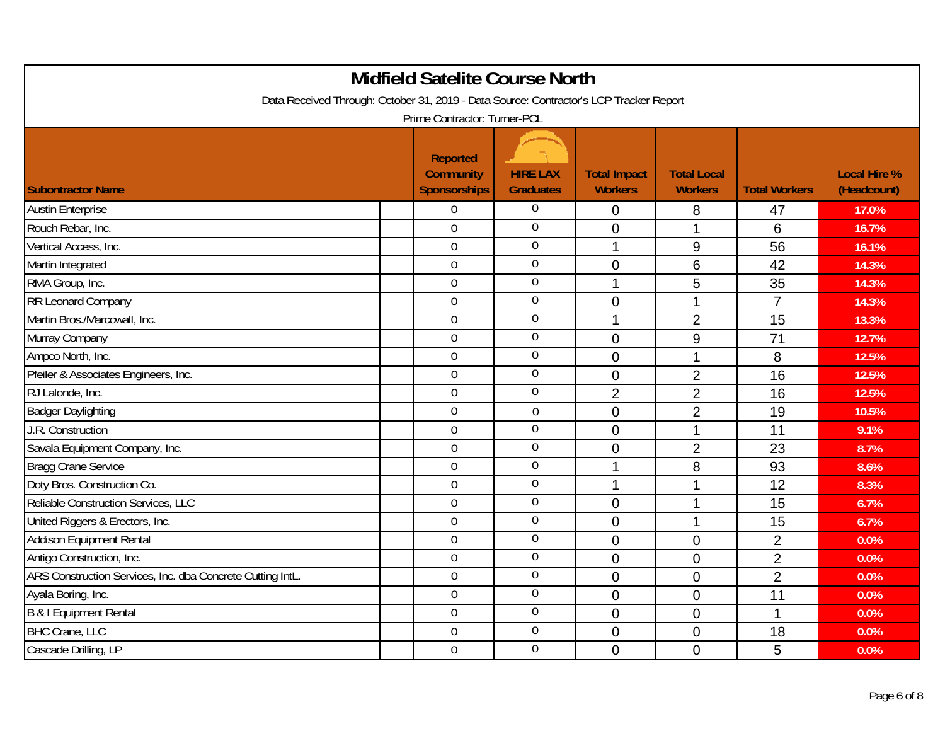| <b>Midfield Satelite Course North</b>                                                  |                                                            |                                     |                                       |                                      |                      |                                    |  |  |
|----------------------------------------------------------------------------------------|------------------------------------------------------------|-------------------------------------|---------------------------------------|--------------------------------------|----------------------|------------------------------------|--|--|
| Data Received Through: October 31, 2019 - Data Source: Contractor's LCP Tracker Report |                                                            |                                     |                                       |                                      |                      |                                    |  |  |
|                                                                                        | Prime Contractor: Turner-PCL                               |                                     |                                       |                                      |                      |                                    |  |  |
| <b>Subontractor Name</b>                                                               | <b>Reported</b><br><b>Community</b><br><b>Sponsorships</b> | <b>HIRE LAX</b><br><b>Graduates</b> | <b>Total Impact</b><br><b>Workers</b> | <b>Total Local</b><br><b>Workers</b> | <b>Total Workers</b> | <b>Local Hire %</b><br>(Headcount) |  |  |
| <b>Austin Enterprise</b>                                                               | $\overline{0}$                                             | $\boldsymbol{0}$                    | $\overline{0}$                        | 8                                    | 47                   | 17.0%                              |  |  |
| Rouch Rebar, Inc.                                                                      | $\overline{0}$                                             | $\overline{0}$                      | $\mathbf 0$                           | 1                                    | 6                    | 16.7%                              |  |  |
| Vertical Access, Inc.                                                                  | $\mathbf 0$                                                | $\overline{0}$                      | 1                                     | 9                                    | 56                   | 16.1%                              |  |  |
| Martin Integrated                                                                      | $\overline{0}$                                             | $\boldsymbol{0}$                    | $\overline{0}$                        | 6                                    | 42                   | 14.3%                              |  |  |
| RMA Group, Inc.                                                                        | $\overline{0}$                                             | $\boldsymbol{0}$                    | 1                                     | 5                                    | 35                   | 14.3%                              |  |  |
| RR Leonard Company                                                                     | $\overline{0}$                                             | $\overline{0}$                      | $\overline{0}$                        | $\mathbf{1}$                         | $\overline{7}$       | 14.3%                              |  |  |
| Martin Bros./Marcowall, Inc.                                                           | $\mathbf 0$                                                | $\boldsymbol{0}$                    | 1                                     | $\overline{2}$                       | 15                   | 13.3%                              |  |  |
| Murray Company                                                                         | $\overline{0}$                                             | $\boldsymbol{0}$                    | $\mathbf 0$                           | 9                                    | 71                   | 12.7%                              |  |  |
| Ampco North, Inc.                                                                      | $\overline{0}$                                             | $\boldsymbol{0}$                    | $\overline{0}$                        | 1                                    | 8                    | 12.5%                              |  |  |
| Pfeiler & Associates Engineers, Inc.                                                   | $\overline{0}$                                             | $\overline{0}$                      | $\overline{0}$                        | $\overline{2}$                       | 16                   | 12.5%                              |  |  |
| RJ Lalonde, Inc.                                                                       | $\overline{0}$                                             | $\boldsymbol{0}$                    | $\overline{2}$                        | $\overline{2}$                       | 16                   | 12.5%                              |  |  |
| <b>Badger Daylighting</b>                                                              | $\mathbf 0$                                                | $\mathbf 0$                         | $\mathbf 0$                           | $\overline{2}$                       | 19                   | 10.5%                              |  |  |
| J.R. Construction                                                                      | $\overline{0}$                                             | $\overline{0}$                      | $\mathbf 0$                           | $\mathbf{1}$                         | 11                   | 9.1%                               |  |  |
| Savala Equipment Company, Inc.                                                         | $\mathbf 0$                                                | $\mathbf 0$                         | $\overline{0}$                        | $\overline{2}$                       | 23                   | 8.7%                               |  |  |
| <b>Bragg Crane Service</b>                                                             | $\overline{0}$                                             | $\overline{0}$                      | 1                                     | 8                                    | 93                   | $8.6\%$                            |  |  |
| Doty Bros. Construction Co.                                                            | $\overline{0}$                                             | $\boldsymbol{0}$                    | 1                                     | $\overline{1}$                       | 12                   | 8.3%                               |  |  |
| Reliable Construction Services, LLC                                                    | $\overline{0}$                                             | $\mathbf 0$                         | $\overline{0}$                        | $\mathbf{1}$                         | 15                   | 6.7%                               |  |  |
| United Riggers & Erectors, Inc.                                                        | $\overline{0}$                                             | $\boldsymbol{0}$                    | $\overline{0}$                        | 1                                    | 15                   | 6.7%                               |  |  |
| Addison Equipment Rental                                                               | $\Omega$                                                   | $\mathbf 0$                         | $\overline{0}$                        | 0                                    | $\overline{2}$       | 0.0%                               |  |  |
| Antigo Construction, Inc.                                                              | $\overline{0}$                                             | $\overline{0}$                      | $\overline{0}$                        | 0                                    | $\overline{2}$       | 0.0%                               |  |  |
| ARS Construction Services, Inc. dba Concrete Cutting IntL.                             | $\mathbf 0$                                                | $\overline{0}$                      | $\mathbf 0$                           | 0                                    | $\overline{2}$       | 0.0%                               |  |  |
| Ayala Boring, Inc.                                                                     | $\overline{0}$                                             | $\overline{0}$                      | $\mathbf 0$                           | 0                                    | 11                   | 0.0%                               |  |  |
| B & I Equipment Rental                                                                 | $\mathbf 0$                                                | $\boldsymbol{0}$                    | $\overline{0}$                        | 0                                    | 1                    | 0.0%                               |  |  |
| <b>BHC Crane, LLC</b>                                                                  | $\overline{0}$                                             | $\overline{0}$                      | $\overline{0}$                        | $\mathbf 0$                          | 18                   | 0.0%                               |  |  |
| Cascade Drilling, LP                                                                   | $\mathbf 0$                                                | $\overline{0}$                      | $\overline{0}$                        | $\overline{0}$                       | 5                    | 0.0%                               |  |  |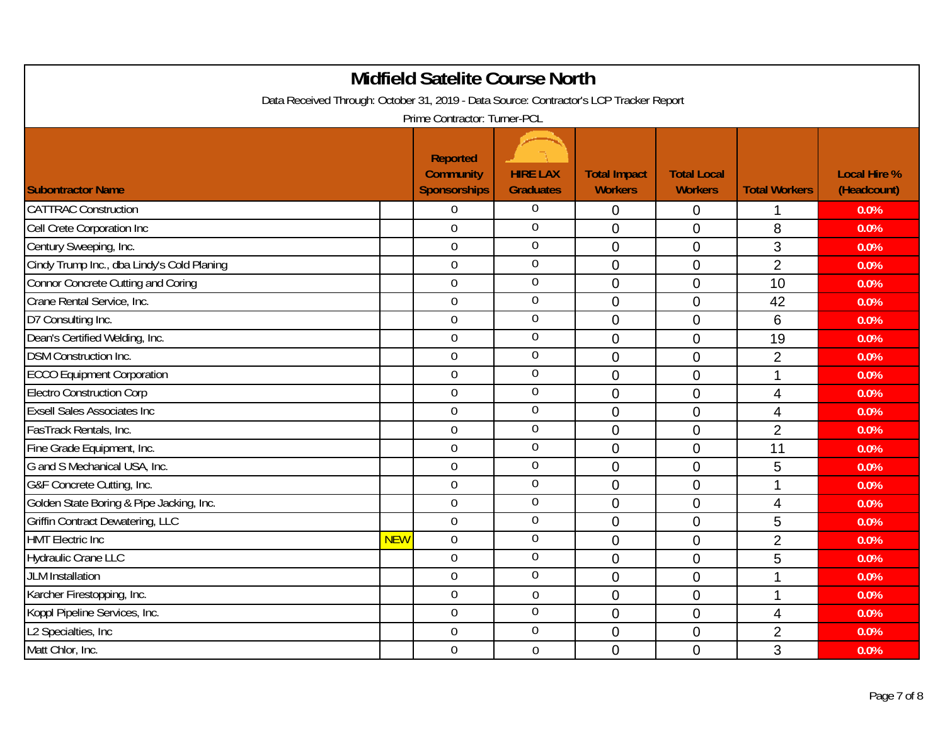| <b>Midfield Satelite Course North</b>                                                  |            |                                                            |                                     |                                       |                                      |                      |                                    |  |
|----------------------------------------------------------------------------------------|------------|------------------------------------------------------------|-------------------------------------|---------------------------------------|--------------------------------------|----------------------|------------------------------------|--|
| Data Received Through: October 31, 2019 - Data Source: Contractor's LCP Tracker Report |            |                                                            |                                     |                                       |                                      |                      |                                    |  |
|                                                                                        |            | Prime Contractor: Turner-PCL                               |                                     |                                       |                                      |                      |                                    |  |
| <b>Subontractor Name</b>                                                               |            | <b>Reported</b><br><b>Community</b><br><b>Sponsorships</b> | <b>HIRE LAX</b><br><b>Graduates</b> | <b>Total Impact</b><br><b>Workers</b> | <b>Total Local</b><br><b>Workers</b> | <b>Total Workers</b> | <b>Local Hire %</b><br>(Headcount) |  |
| <b>CATTRAC Construction</b>                                                            |            | $\overline{0}$                                             | $\boldsymbol{0}$                    | 0                                     | 0                                    | 1                    | 0.0%                               |  |
| Cell Crete Corporation Inc                                                             |            | $\Omega$                                                   | $\overline{0}$                      | $\overline{0}$                        | 0                                    | 8                    | 0.0%                               |  |
| Century Sweeping, Inc.                                                                 |            | $\overline{0}$                                             | $\overline{0}$                      | $\overline{0}$                        | 0                                    | 3                    | 0.0%                               |  |
| Cindy Trump Inc., dba Lindy's Cold Planing                                             |            | $\overline{0}$                                             | $\overline{0}$                      | $\overline{0}$                        | 0                                    | $\overline{2}$       | 0.0%                               |  |
| <b>Connor Concrete Cutting and Coring</b>                                              |            | $\overline{0}$                                             | $\mathbf 0$                         | $\overline{0}$                        | $\overline{0}$                       | 10                   | 0.0%                               |  |
| Crane Rental Service, Inc.                                                             |            | $\overline{0}$                                             | $\mathbf 0$                         | $\overline{0}$                        | 0                                    | 42                   | 0.0%                               |  |
| D7 Consulting Inc.                                                                     |            | $\mathbf 0$                                                | $\boldsymbol{0}$                    | $\overline{0}$                        | $\overline{0}$                       | 6                    | 0.0%                               |  |
| Dean's Certified Welding, Inc.                                                         |            | $\mathbf 0$                                                | $\boldsymbol{0}$                    | $\overline{0}$                        | $\overline{0}$                       | 19                   | 0.0%                               |  |
| <b>DSM Construction Inc.</b>                                                           |            | $\overline{0}$                                             | $\boldsymbol{0}$                    | $\overline{0}$                        | $\overline{0}$                       | $\overline{2}$       | 0.0%                               |  |
| <b>ECCO Equipment Corporation</b>                                                      |            | $\overline{0}$                                             | $\mathbf 0$                         | $\overline{0}$                        | 0                                    | 1                    | 0.0%                               |  |
| <b>Electro Construction Corp</b>                                                       |            | $\mathbf 0$                                                | $\mathbf 0$                         | $\overline{0}$                        | 0                                    | 4                    | 0.0%                               |  |
| <b>Exsell Sales Associates Inc.</b>                                                    |            | $\overline{0}$                                             | $\mathbf 0$                         | $\overline{0}$                        | $\overline{0}$                       | $\overline{4}$       | 0.0%                               |  |
| FasTrack Rentals, Inc.                                                                 |            | $\overline{0}$                                             | $\overline{0}$                      | $\overline{0}$                        | 0                                    | $\overline{2}$       | 0.0%                               |  |
| Fine Grade Equipment, Inc.                                                             |            | $\overline{0}$                                             | $\mathbf 0$                         | $\mathbf 0$                           | 0                                    | 11                   | 0.0%                               |  |
| G and S Mechanical USA, Inc.                                                           |            | $\overline{0}$                                             | $\overline{0}$                      | $\mathbf 0$                           | 0                                    | 5                    | 0.0%                               |  |
| G&F Concrete Cutting, Inc.                                                             |            | $\overline{0}$                                             | $\boldsymbol{0}$                    | $\overline{0}$                        | $\overline{0}$                       | 1                    | 0.0%                               |  |
| Golden State Boring & Pipe Jacking, Inc.                                               |            | $\overline{0}$                                             | $\overline{0}$                      | $\overline{0}$                        | $\overline{0}$                       | $\overline{4}$       | 0.0%                               |  |
| Griffin Contract Dewatering, LLC                                                       |            | $\mathbf 0$                                                | $\mathbf 0$                         | $\overline{0}$                        | $\overline{0}$                       | 5                    | 0.0%                               |  |
| <b>HMT Electric Inc.</b>                                                               | <b>NEW</b> | $\overline{0}$                                             | $\boldsymbol{0}$                    | $\mathbf 0$                           | 0                                    | $\overline{2}$       | 0.0%                               |  |
| <b>Hydraulic Crane LLC</b>                                                             |            | $\overline{0}$                                             | $\boldsymbol{0}$                    | $\overline{0}$                        | 0                                    | 5                    | 0.0%                               |  |
| <b>JLM</b> Installation                                                                |            | $\overline{0}$                                             | $\mathbf 0$                         | $\mathbf 0$                           | 0                                    | 1                    | 0.0%                               |  |
| Karcher Firestopping, Inc.                                                             |            | $\mathbf 0$                                                | $\boldsymbol{0}$                    | $\mathbf 0$                           | 0                                    | 1                    | 0.0%                               |  |
| Koppl Pipeline Services, Inc.                                                          |            | $\overline{0}$                                             | $\mathbf 0$                         | 0                                     | 0                                    | 4                    | 0.0%                               |  |
| L2 Specialties, Inc.                                                                   |            | $\overline{0}$                                             | $\overline{0}$                      | $\overline{0}$                        | 0                                    | $\overline{2}$       | 0.0%                               |  |
| Matt Chlor, Inc.                                                                       |            | $\boldsymbol{0}$                                           | $\boldsymbol{0}$                    | $\overline{0}$                        | $\overline{0}$                       | 3                    | 0.0%                               |  |